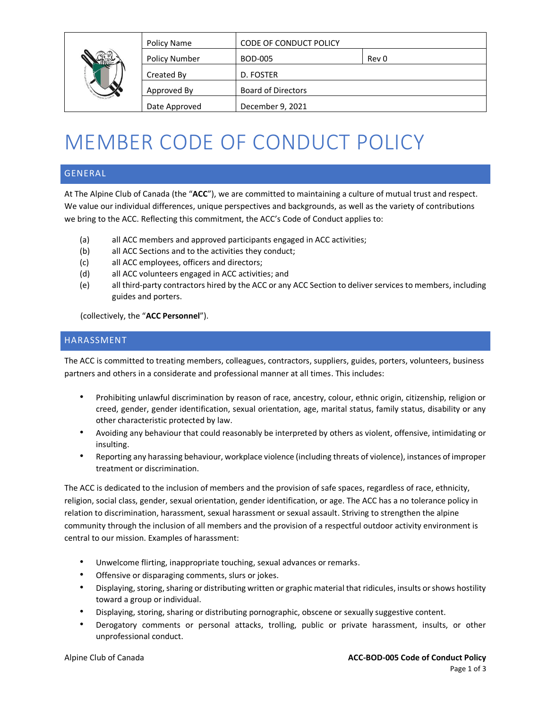

| Policy Name          | <b>CODE OF CONDUCT POLICY</b> |       |
|----------------------|-------------------------------|-------|
| <b>Policy Number</b> | <b>BOD-005</b>                | Rev 0 |
| Created By           | D. FOSTER                     |       |
| Approved By          | <b>Board of Directors</b>     |       |
| Date Approved        | December 9, 2021              |       |
|                      |                               |       |

# MEMBER CODE OF CONDUCT POLICY

#### GENERAL

At The Alpine Club of Canada (the "**ACC**"), we are committed to maintaining a culture of mutual trust and respect. We value our individual differences, unique perspectives and backgrounds, as well as the variety of contributions we bring to the ACC. Reflecting this commitment, the ACC's Code of Conduct applies to:

- (a) all ACC members and approved participants engaged in ACC activities;
- (b) all ACC Sections and to the activities they conduct;
- (c) all ACC employees, officers and directors;
- (d) all ACC volunteers engaged in ACC activities; and
- (e) all third-party contractors hired by the ACC or any ACC Section to deliver services to members, including guides and porters.

(collectively, the "**ACC Personnel**").

#### HARASSMENT

The ACC is committed to treating members, colleagues, contractors, suppliers, guides, porters, volunteers, business partners and others in a considerate and professional manner at all times. This includes:

- Prohibiting unlawful discrimination by reason of race, ancestry, colour, ethnic origin, citizenship, religion or creed, gender, gender identification, sexual orientation, age, marital status, family status, disability or any other characteristic protected by law.
- Avoiding any behaviour that could reasonably be interpreted by others as violent, offensive, intimidating or insulting.
- Reporting any harassing behaviour, workplace violence (including threats of violence), instances of improper treatment or discrimination.

The ACC is dedicated to the inclusion of members and the provision of safe spaces, regardless of race, ethnicity, religion, social class, gender, sexual orientation, gender identification, or age. The ACC has a no tolerance policy in relation to discrimination, harassment, sexual harassment or sexual assault. Striving to strengthen the alpine community through the inclusion of all members and the provision of a respectful outdoor activity environment is central to our mission. Examples of harassment:

- Unwelcome flirting, inappropriate touching, sexual advances or remarks.
- Offensive or disparaging comments, slurs or jokes.
- Displaying, storing, sharing or distributing written or graphic material that ridicules, insults or shows hostility toward a group or individual.
- Displaying, storing, sharing or distributing pornographic, obscene or sexually suggestive content.
- Derogatory comments or personal attacks, trolling, public or private harassment, insults, or other unprofessional conduct.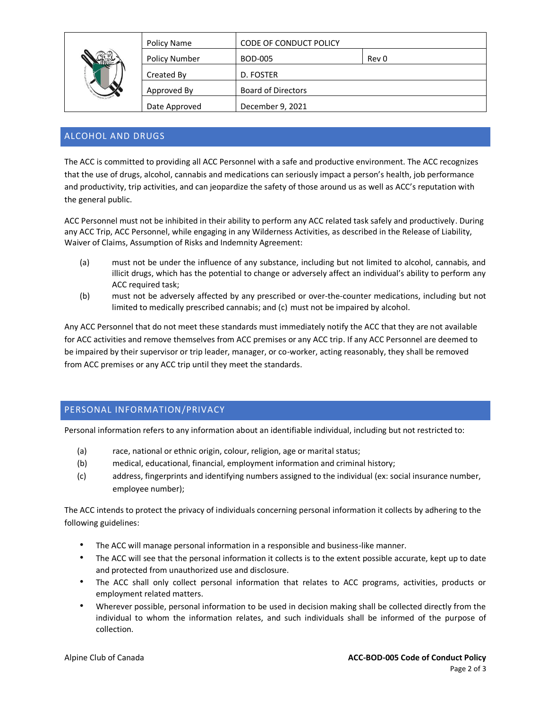| Policy Name          | <b>CODE OF CONDUCT POLICY</b> |       |
|----------------------|-------------------------------|-------|
| <b>Policy Number</b> | BOD-005                       | Rev 0 |
| Created By           | D. FOSTER                     |       |
| Approved By          | <b>Board of Directors</b>     |       |
| Date Approved        | December 9, 2021              |       |

#### ALCOHOL AND DRUGS

The ACC is committed to providing all ACC Personnel with a safe and productive environment. The ACC recognizes that the use of drugs, alcohol, cannabis and medications can seriously impact a person's health, job performance and productivity, trip activities, and can jeopardize the safety of those around us as well as ACC's reputation with the general public.

ACC Personnel must not be inhibited in their ability to perform any ACC related task safely and productively. During any ACC Trip, ACC Personnel, while engaging in any Wilderness Activities, as described in the Release of Liability, Waiver of Claims, Assumption of Risks and Indemnity Agreement:

- (a) must not be under the influence of any substance, including but not limited to alcohol, cannabis, and illicit drugs, which has the potential to change or adversely affect an individual's ability to perform any ACC required task;
- (b) must not be adversely affected by any prescribed or over-the-counter medications, including but not limited to medically prescribed cannabis; and (c) must not be impaired by alcohol.

Any ACC Personnel that do not meet these standards must immediately notify the ACC that they are not available for ACC activities and remove themselves from ACC premises or any ACC trip. If any ACC Personnel are deemed to be impaired by their supervisor or trip leader, manager, or co-worker, acting reasonably, they shall be removed from ACC premises or any ACC trip until they meet the standards.

### PERSONAL INFORMATION/PRIVACY

Personal information refers to any information about an identifiable individual, including but not restricted to:

- (a) race, national or ethnic origin, colour, religion, age or marital status;
- (b) medical, educational, financial, employment information and criminal history;
- (c) address, fingerprints and identifying numbers assigned to the individual (ex: social insurance number, employee number);

The ACC intends to protect the privacy of individuals concerning personal information it collects by adhering to the following guidelines:

- The ACC will manage personal information in a responsible and business-like manner.
- The ACC will see that the personal information it collects is to the extent possible accurate, kept up to date and protected from unauthorized use and disclosure.
- The ACC shall only collect personal information that relates to ACC programs, activities, products or employment related matters.
- Wherever possible, personal information to be used in decision making shall be collected directly from the individual to whom the information relates, and such individuals shall be informed of the purpose of collection.